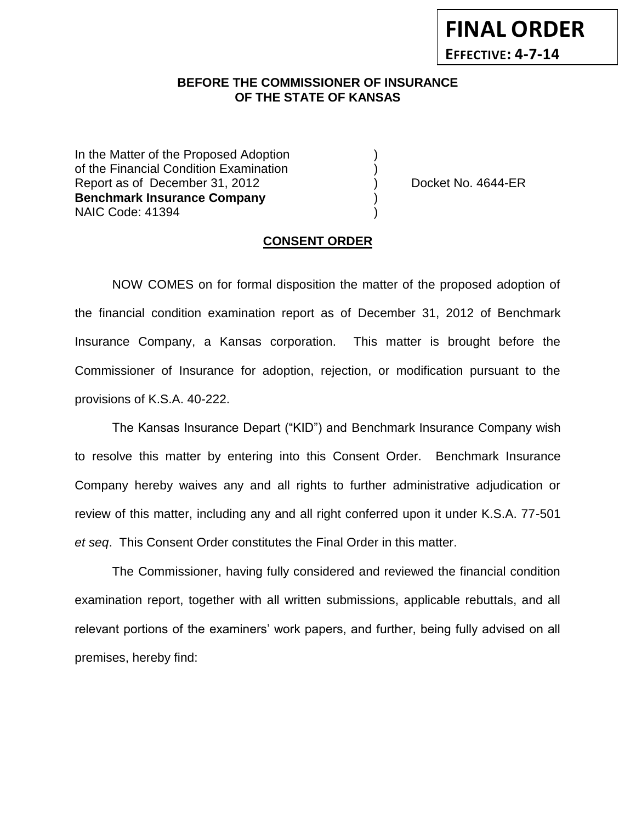## **BEFORE THE COMMISSIONER OF INSURANCE** *-12***OF THE STATE OF KANSAS**

In the Matter of the Proposed Adoption of the Financial Condition Examination ) Report as of December 31, 2012 (and Separate Left No. 4644-ER **Benchmark Insurance Company** ) NAIC Code: 41394 )

**FINAL ORDER**

**EFFECTIVE: 4-7-14**

#### **CONSENT ORDER**

NOW COMES on for formal disposition the matter of the proposed adoption of the financial condition examination report as of December 31, 2012 of Benchmark Insurance Company, a Kansas corporation. This matter is brought before the Commissioner of Insurance for adoption, rejection, or modification pursuant to the provisions of K.S.A. 40-222.

The Kansas Insurance Depart ("KID") and Benchmark Insurance Company wish to resolve this matter by entering into this Consent Order. Benchmark Insurance Company hereby waives any and all rights to further administrative adjudication or review of this matter, including any and all right conferred upon it under K.S.A. 77-501 *et seq*. This Consent Order constitutes the Final Order in this matter.

The Commissioner, having fully considered and reviewed the financial condition examination report, together with all written submissions, applicable rebuttals, and all relevant portions of the examiners' work papers, and further, being fully advised on all premises, hereby find: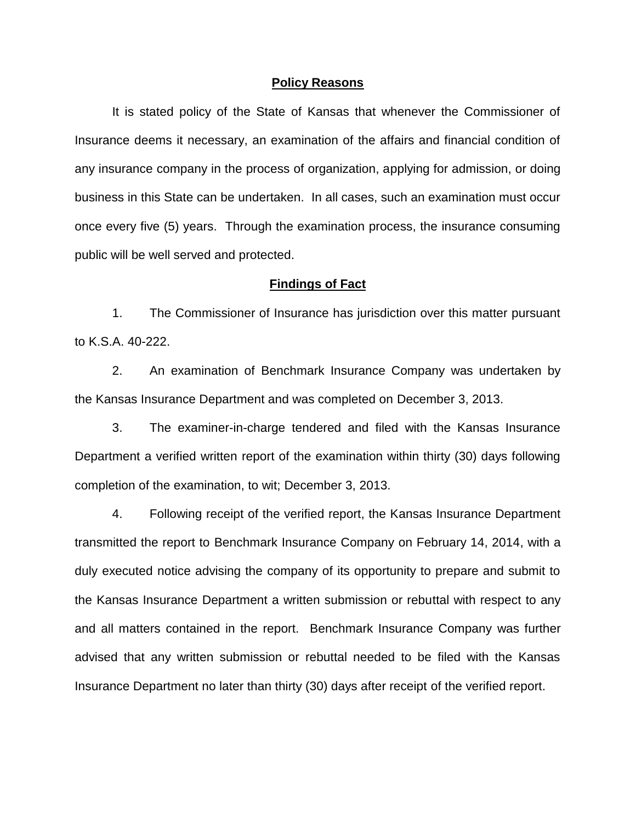#### **Policy Reasons**

It is stated policy of the State of Kansas that whenever the Commissioner of Insurance deems it necessary, an examination of the affairs and financial condition of any insurance company in the process of organization, applying for admission, or doing business in this State can be undertaken. In all cases, such an examination must occur once every five (5) years. Through the examination process, the insurance consuming public will be well served and protected.

### **Findings of Fact**

1. The Commissioner of Insurance has jurisdiction over this matter pursuant to K.S.A. 40-222.

2. An examination of Benchmark Insurance Company was undertaken by the Kansas Insurance Department and was completed on December 3, 2013.

3. The examiner-in-charge tendered and filed with the Kansas Insurance Department a verified written report of the examination within thirty (30) days following completion of the examination, to wit; December 3, 2013.

4. Following receipt of the verified report, the Kansas Insurance Department transmitted the report to Benchmark Insurance Company on February 14, 2014, with a duly executed notice advising the company of its opportunity to prepare and submit to the Kansas Insurance Department a written submission or rebuttal with respect to any and all matters contained in the report. Benchmark Insurance Company was further advised that any written submission or rebuttal needed to be filed with the Kansas Insurance Department no later than thirty (30) days after receipt of the verified report.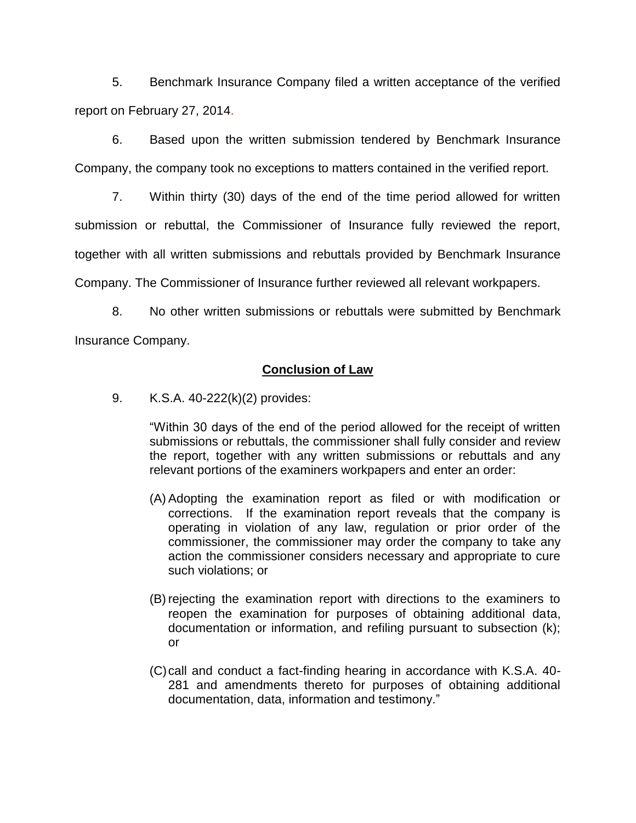5. Benchmark Insurance Company filed a written acceptance of the verified report on February 27, 2014.

6. Based upon the written submission tendered by Benchmark Insurance Company, the company took no exceptions to matters contained in the verified report.

7. Within thirty (30) days of the end of the time period allowed for written submission or rebuttal, the Commissioner of Insurance fully reviewed the report, together with all written submissions and rebuttals provided by Benchmark Insurance Company. The Commissioner of Insurance further reviewed all relevant workpapers.

8. No other written submissions or rebuttals were submitted by Benchmark Insurance Company.

## **Conclusion of Law**

9. K.S.A. 40-222(k)(2) provides:

"Within 30 days of the end of the period allowed for the receipt of written submissions or rebuttals, the commissioner shall fully consider and review the report, together with any written submissions or rebuttals and any relevant portions of the examiners workpapers and enter an order:

- (A) Adopting the examination report as filed or with modification or corrections. If the examination report reveals that the company is operating in violation of any law, regulation or prior order of the commissioner, the commissioner may order the company to take any action the commissioner considers necessary and appropriate to cure such violations; or
- (B) rejecting the examination report with directions to the examiners to reopen the examination for purposes of obtaining additional data, documentation or information, and refiling pursuant to subsection (k); or
- (C)call and conduct a fact-finding hearing in accordance with K.S.A. 40- 281 and amendments thereto for purposes of obtaining additional documentation, data, information and testimony."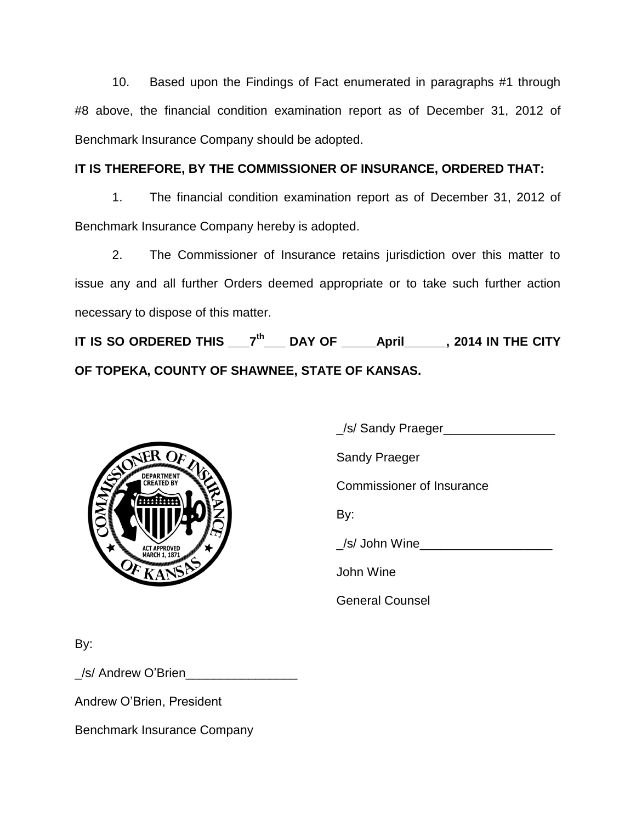10. Based upon the Findings of Fact enumerated in paragraphs #1 through #8 above, the financial condition examination report as of December 31, 2012 of Benchmark Insurance Company should be adopted.

# **IT IS THEREFORE, BY THE COMMISSIONER OF INSURANCE, ORDERED THAT:**

1. The financial condition examination report as of December 31, 2012 of Benchmark Insurance Company hereby is adopted.

2. The Commissioner of Insurance retains jurisdiction over this matter to issue any and all further Orders deemed appropriate or to take such further action necessary to dispose of this matter.

**IT IS SO ORDERED THIS \_\_\_7 th \_\_\_ DAY OF \_\_\_\_\_April\_\_\_\_\_\_, 2014 IN THE CITY OF TOPEKA, COUNTY OF SHAWNEE, STATE OF KANSAS.**



\_/s/ Sandy Praeger\_\_\_\_\_\_\_\_\_\_\_\_\_\_\_\_

Sandy Praeger

Commissioner of Insurance

By:

\_/s/ John Wine\_\_\_\_\_\_\_\_\_\_\_\_\_\_\_\_\_\_\_

John Wine

General Counsel

By:

\_/s/ Andrew O'Brien\_\_\_\_\_\_\_\_\_\_\_\_\_\_\_\_

Andrew O'Brien, President

Benchmark Insurance Company